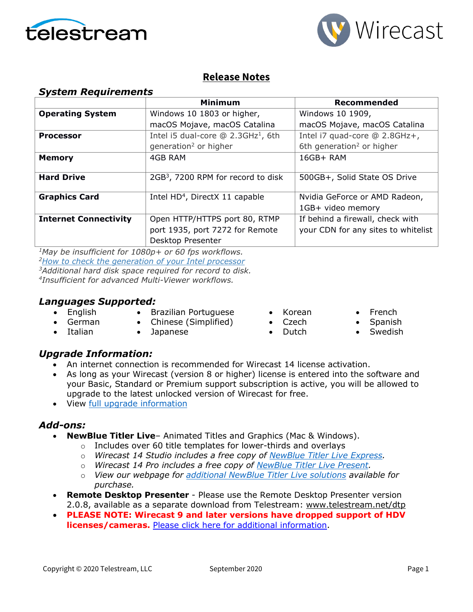



## **Release Notes**

| <b>System Requirements</b>   |                                                  |                                       |  |
|------------------------------|--------------------------------------------------|---------------------------------------|--|
|                              | Minimum                                          | Recommended                           |  |
| <b>Operating System</b>      | Windows 10 1803 or higher,                       | Windows 10 1909,                      |  |
|                              | macOS Mojave, macOS Catalina                     | macOS Mojave, macOS Catalina          |  |
| <b>Processor</b>             | Intel i5 dual-core $@$ 2.3GHz <sup>1</sup> , 6th | Intel i7 quad-core @ 2.8GHz+,         |  |
|                              | generation <sup>2</sup> or higher                | 6th generation <sup>2</sup> or higher |  |
| <b>Memory</b>                | 4GB RAM                                          | 16GB+ RAM                             |  |
|                              |                                                  |                                       |  |
| <b>Hard Drive</b>            | 2GB <sup>3</sup> , 7200 RPM for record to disk   | 500GB+, Solid State OS Drive          |  |
|                              |                                                  |                                       |  |
| <b>Graphics Card</b>         | Intel HD <sup>4</sup> , DirectX 11 capable       | Nvidia GeForce or AMD Radeon,         |  |
|                              |                                                  | 1GB+ video memory                     |  |
| <b>Internet Connectivity</b> | Open HTTP/HTTPS port 80, RTMP                    | If behind a firewall, check with      |  |
|                              | port 1935, port 7272 for Remote                  | your CDN for any sites to whitelist   |  |
|                              | Desktop Presenter                                |                                       |  |

*1May be insufficient for 1080p+ or 60 fps workflows. [2How to check the generation](http://www.telestream.net/telestream-support/wire-cast/faq.htm?kbURL=http://telestream.force.com/kb/articles/Knowledge_Article/Wirecast-How-to-check-the-generation-of-your-Intel-processor/) of your Intel processor 3Additional hard disk space required for record to disk. 4Insufficient for advanced Multi-Viewer workflows.*

### *Languages Supported:*

- Brazilian Portuguese
- English • German
- Chinese (Simplified)
- Korean • Czech
	-
- 
- Italian
- Japanese
- Dutch
- French • Spanish
- **Swedish**

## *Upgrade Information:*

- An internet connection is recommended for Wirecast 14 license activation.
- As long as your Wirecast (version 8 or higher) license is entered into the software and your Basic, Standard or Premium support subscription is active, you will be allowed to upgrade to the latest unlocked version of Wirecast for free.
- View [full upgrade information](http://www.telestream.net/wirecast/upgrade.htm#upgrade)

### *Add-ons:*

- **NewBlue Titler Live** Animated Titles and Graphics (Mac & Windows).
	- o Includes over 60 title templates for lower-thirds and overlays
	- o *Wirecast 14 Studio includes a free copy of [NewBlue Titler Live Express.](https://www.telestream.net/wirecast/newblue.htm#buy)*
	- o *Wirecast 14 Pro includes a free copy of [NewBlue Titler Live Present.](https://www.telestream.net/wirecast/newblue.htm#present)*
	- o *View our webpage for [additional NewBlue Titler Live solutions](https://www.telestream.net/wirecast/newblue.htm#solutions) available for purchase.*
- **Remote Desktop Presenter**  Please use the Remote Desktop Presenter version 2.0.8, available as a separate download from Telestream: [www.telestream.net/dtp](http://www.telestream.net/dtp)
- **PLEASE NOTE: Wirecast 9 and later versions have dropped support of HDV licenses/cameras.** [Please click here for additional information.](http://www.telestream.net/telestream-support/wire-cast/faq.htm?kbURL=http://telestream.force.com/kb/articles/Knowledge_Article/Wirecast-HDV-Firewire-No-longer-Supported/)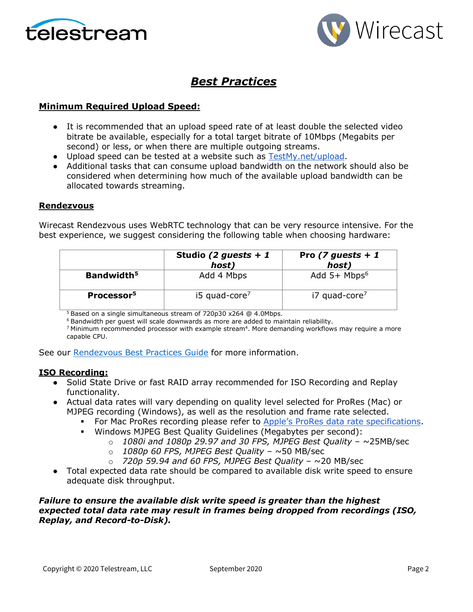



## *Best Practices*

### **Minimum Required Upload Speed:**

- It is recommended that an upload speed rate of at least double the selected video bitrate be available, especially for a total target bitrate of 10Mbps (Megabits per second) or less, or when there are multiple outgoing streams.
- Upload speed can be tested at a website such as [TestMy.net/upload.](http://testmy.net/upload)
- Additional tasks that can consume upload bandwidth on the network should also be considered when determining how much of the available upload bandwidth can be allocated towards streaming.

#### **Rendezvous**

Wirecast Rendezvous uses WebRTC technology that can be very resource intensive. For the best experience, we suggest considering the following table when choosing hardware:

|                        | Studio (2 guests + 1<br>host) | Pro (7 guests + 1<br>host)  |
|------------------------|-------------------------------|-----------------------------|
| Bandwidth <sup>5</sup> | Add 4 Mbps                    | Add $5+$ Mbps <sup>6</sup>  |
| Processor <sup>5</sup> | $15$ quad-core <sup>7</sup>   | $i7$ quad-core <sup>7</sup> |

<sup>5</sup> Based on a single simultaneous stream of 720p30 x264 @ 4.0Mbps.

<sup>6</sup> Bandwidth per guest will scale downwards as more are added to maintain reliability.

<sup>7</sup> Minimum recommended processor with example stream<sup>4</sup>. More demanding workflows may require a more capable CPU.

See our [Rendezvous Best Practices Guide](http://www.telestream.net/pdfs/technical/Wirecast-Rendezvous-Best-Practices-Guide.pdf) for more information.

#### **ISO Recording:**

- Solid State Drive or fast RAID array recommended for ISO Recording and Replay functionality.
- Actual data rates will vary depending on quality level selected for ProRes (Mac) or MJPEG recording (Windows), as well as the resolution and frame rate selected.
	- For Mac ProRes recording please refer to [Apple's ProRes data rate specifications.](https://en.wikipedia.org/wiki/Apple_ProRes#ProRes-Overview)
	- Windows MJPEG Best Quality Guidelines (Megabytes per second):
		- o *1080i and 1080p 29.97 and 30 FPS, MJPEG Best Quality* ~25MB/sec
		- o *1080p 60 FPS, MJPEG Best Quality* ~50 MB/sec
		- o *720p 59.94 and 60 FPS, MJPEG Best Quality* ~20 MB/sec
- Total expected data rate should be compared to available disk write speed to ensure adequate disk throughput.

### *Failure to ensure the available disk write speed is greater than the highest expected total data rate may result in frames being dropped from recordings (ISO, Replay, and Record-to-Disk).*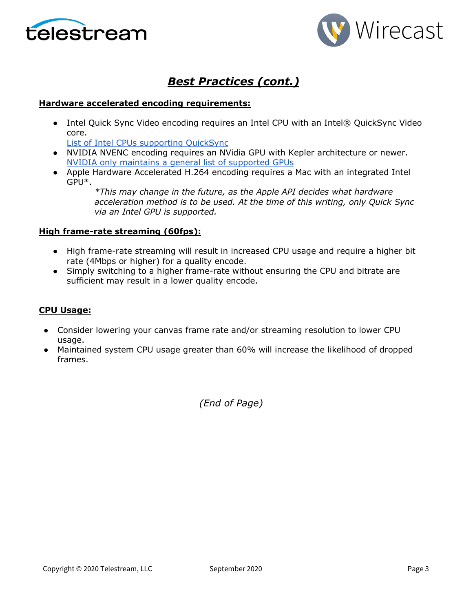



## *Best Practices (cont.)*

### **Hardware accelerated encoding requirements:**

• Intel Quick Sync Video encoding requires an Intel CPU with an Intel® QuickSync Video core[.](http://ark.intel.com/search/advanced?QuickSyncVideo=true&MarketSegment=DT)

[List of Intel CPUs supporting QuickSync](https://ark.intel.com/content/www/us/en/ark/search/featurefilter.html?productType=873&0_QuickSyncVideo=True)

- NVIDIA NVENC encoding requires an NVidia GPU with Kepler architecture or newer[.](https://developer.nvidia.com/nvidia-video-codec-sdk) [NVIDIA only maintains a general list of supported GPUs](https://developer.nvidia.com/nvidia-video-codec-sdk)
- Apple Hardware Accelerated H.264 encoding requires a Mac with an integrated Intel GPU\*.

*\*This may change in the future, as the Apple API decides what hardware acceleration method is to be used. At the time of this writing, only Quick Sync via an Intel GPU is supported.*

### **High frame-rate streaming (60fps):**

- High frame-rate streaming will result in increased CPU usage and require a higher bit rate (4Mbps or higher) for a quality encode.
- Simply switching to a higher frame-rate without ensuring the CPU and bitrate are sufficient may result in a lower quality encode.

### **CPU Usage:**

- Consider lowering your canvas frame rate and/or streaming resolution to lower CPU usage.
- Maintained system CPU usage greater than 60% will increase the likelihood of dropped frames.

*(End of Page)*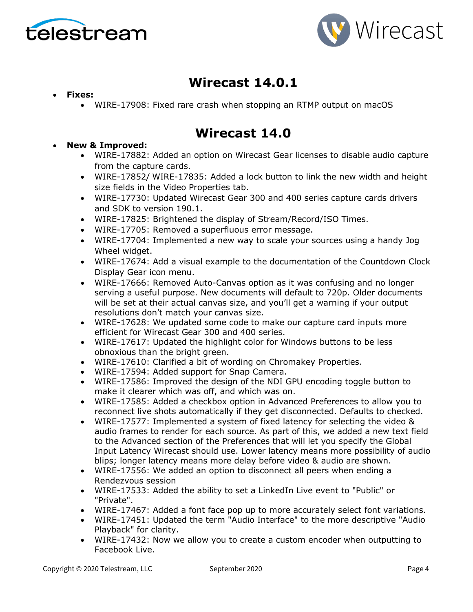



# **Wirecast 14.0.1**

- **Fixes:**
	- WIRE-17908: Fixed rare crash when stopping an RTMP output on macOS

# **Wirecast 14.0**

- **New & Improved:**
	- WIRE-17882: Added an option on Wirecast Gear licenses to disable audio capture from the capture cards.
	- WIRE-17852/ WIRE-17835: Added a lock button to link the new width and height size fields in the Video Properties tab.
	- WIRE-17730: Updated Wirecast Gear 300 and 400 series capture cards drivers and SDK to version 190.1.
	- WIRE-17825: Brightened the display of Stream/Record/ISO Times.
	- WIRE-17705: Removed a superfluous error message.
	- WIRE-17704: Implemented a new way to scale your sources using a handy Jog Wheel widget.
	- WIRE-17674: Add a visual example to the documentation of the Countdown Clock Display Gear icon menu.
	- WIRE-17666: Removed Auto-Canvas option as it was confusing and no longer serving a useful purpose. New documents will default to 720p. Older documents will be set at their actual canvas size, and you'll get a warning if your output resolutions don't match your canvas size.
	- WIRE-17628: We updated some code to make our capture card inputs more efficient for Wirecast Gear 300 and 400 series.
	- WIRE-17617: Updated the highlight color for Windows buttons to be less obnoxious than the bright green.
	- WIRE-17610: Clarified a bit of wording on Chromakey Properties.
	- WIRE-17594: Added support for Snap Camera.
	- WIRE-17586: Improved the design of the NDI GPU encoding toggle button to make it clearer which was off, and which was on.
	- WIRE-17585: Added a checkbox option in Advanced Preferences to allow you to reconnect live shots automatically if they get disconnected. Defaults to checked.
	- WIRE-17577: Implemented a system of fixed latency for selecting the video & audio frames to render for each source. As part of this, we added a new text field to the Advanced section of the Preferences that will let you specify the Global Input Latency Wirecast should use. Lower latency means more possibility of audio blips; longer latency means more delay before video & audio are shown.
	- WIRE-17556: We added an option to disconnect all peers when ending a Rendezvous session
	- WIRE-17533: Added the ability to set a LinkedIn Live event to "Public" or "Private".
	- WIRE-17467: Added a font face pop up to more accurately select font variations.
	- WIRE-17451: Updated the term "Audio Interface" to the more descriptive "Audio Playback" for clarity.
	- WIRE-17432: Now we allow you to create a custom encoder when outputting to Facebook Live.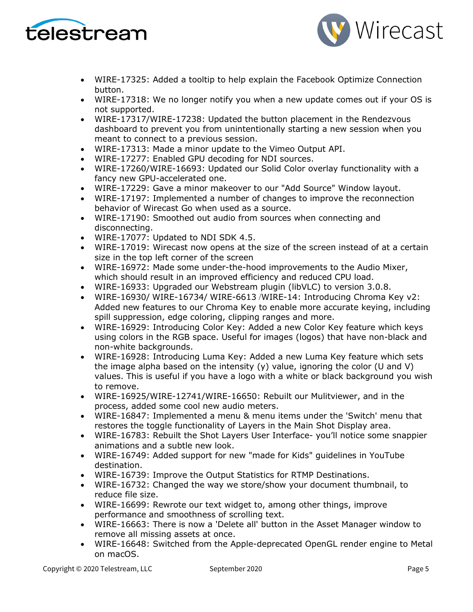



- WIRE-17325: Added a tooltip to help explain the Facebook Optimize Connection button.
- WIRE-17318: We no longer notify you when a new update comes out if your OS is not supported.
- WIRE-17317/WIRE-17238: Updated the button placement in the Rendezvous dashboard to prevent you from unintentionally starting a new session when you meant to connect to a previous session.
- WIRE-17313: Made a minor update to the Vimeo Output API.
- WIRE-17277: Enabled GPU decoding for NDI sources.
- WIRE-17260/WIRE-16693: Updated our Solid Color overlay functionality with a fancy new GPU-accelerated one.
- WIRE-17229: Gave a minor makeover to our "Add Source" Window layout.
- WIRE-17197: Implemented a number of changes to improve the reconnection behavior of Wirecast Go when used as a source.
- WIRE-17190: Smoothed out audio from sources when connecting and disconnecting.
- WIRE-17077: Updated to NDI SDK 4.5.
- WIRE-17019: Wirecast now opens at the size of the screen instead of at a certain size in the top left corner of the screen
- WIRE-16972: Made some under-the-hood improvements to the Audio Mixer, which should result in an improved efficiency and reduced CPU load.
- WIRE-16933: Upgraded our Webstream plugin (libVLC) to version 3.0.8.
- WIRE-16930/ WIRE-16734/ WIRE-6613 /WIRE-14: Introducing Chroma Key v2: Added new features to our Chroma Key to enable more accurate keying, including spill suppression, edge coloring, clipping ranges and more.
- WIRE-16929: Introducing Color Key: Added a new Color Key feature which keys using colors in the RGB space. Useful for images (logos) that have non-black and non-white backgrounds.
- WIRE-16928: Introducing Luma Key: Added a new Luma Key feature which sets the image alpha based on the intensity  $(y)$  value, ignoring the color (U and V) values. This is useful if you have a logo with a white or black background you wish to remove.
- WIRE-16925/WIRE-12741/WIRE-16650: Rebuilt our Mulitviewer, and in the process, added some cool new audio meters.
- WIRE-16847: Implemented a menu & menu items under the 'Switch' menu that restores the toggle functionality of Layers in the Main Shot Display area.
- WIRE-16783: Rebuilt the Shot Layers User Interface- you'll notice some snappier animations and a subtle new look.
- WIRE-16749: Added support for new "made for Kids" guidelines in YouTube destination.
- WIRE-16739: Improve the Output Statistics for RTMP Destinations.
- WIRE-16732: Changed the way we store/show your document thumbnail, to reduce file size.
- WIRE-16699: Rewrote our text widget to, among other things, improve performance and smoothness of scrolling text.
- WIRE-16663: There is now a 'Delete all' button in the Asset Manager window to remove all missing assets at once.
- WIRE-16648: Switched from the Apple-deprecated OpenGL render engine to Metal on macOS.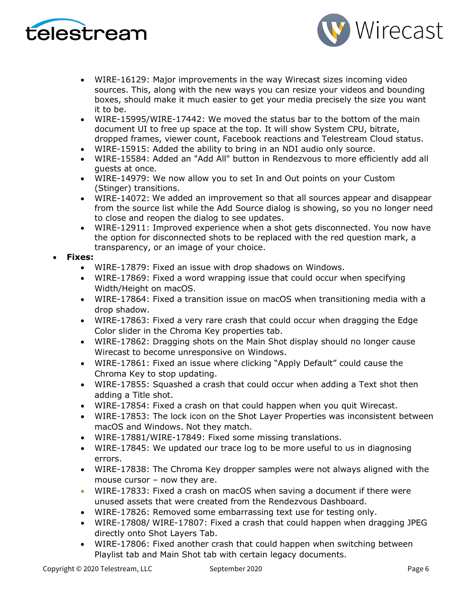



- WIRE-16129: Major improvements in the way Wirecast sizes incoming video sources. This, along with the new ways you can resize your videos and bounding boxes, should make it much easier to get your media precisely the size you want it to be.
- WIRE-15995/WIRE-17442: We moved the status bar to the bottom of the main document UI to free up space at the top. It will show System CPU, bitrate, dropped frames, viewer count, Facebook reactions and Telestream Cloud status.
- WIRE-15915: Added the ability to bring in an NDI audio only source.
- WIRE-15584: Added an "Add All" button in Rendezvous to more efficiently add all guests at once.
- WIRE-14979: We now allow you to set In and Out points on your Custom (Stinger) transitions.
- WIRE-14072: We added an improvement so that all sources appear and disappear from the source list while the Add Source dialog is showing, so you no longer need to close and reopen the dialog to see updates.
- WIRE-12911: Improved experience when a shot gets disconnected. You now have the option for disconnected shots to be replaced with the red question mark, a transparency, or an image of your choice.

### • **Fixes:**

- WIRE-17879: Fixed an issue with drop shadows on Windows.
- WIRE-17869: Fixed a word wrapping issue that could occur when specifying Width/Height on macOS.
- WIRE-17864: Fixed a transition issue on macOS when transitioning media with a drop shadow.
- WIRE-17863: Fixed a very rare crash that could occur when dragging the Edge Color slider in the Chroma Key properties tab.
- WIRE-17862: Dragging shots on the Main Shot display should no longer cause Wirecast to become unresponsive on Windows.
- WIRE-17861: Fixed an issue where clicking "Apply Default" could cause the Chroma Key to stop updating.
- WIRE-17855: Squashed a crash that could occur when adding a Text shot then adding a Title shot.
- WIRE-17854: Fixed a crash on that could happen when you quit Wirecast.
- WIRE-17853: The lock icon on the Shot Layer Properties was inconsistent between macOS and Windows. Not they match.
- WIRE-17881/WIRE-17849: Fixed some missing translations.
- WIRE-17845: We updated our trace log to be more useful to us in diagnosing errors.
- WIRE-17838: The Chroma Key dropper samples were not always aligned with the mouse cursor – now they are.
- WIRE-17833: Fixed a crash on macOS when saving a document if there were unused assets that were created from the Rendezvous Dashboard.
- WIRE-17826: Removed some embarrassing text use for testing only.
- WIRE-17808/ WIRE-17807: Fixed a crash that could happen when dragging JPEG directly onto Shot Layers Tab.
- WIRE-17806: Fixed another crash that could happen when switching between Playlist tab and Main Shot tab with certain legacy documents.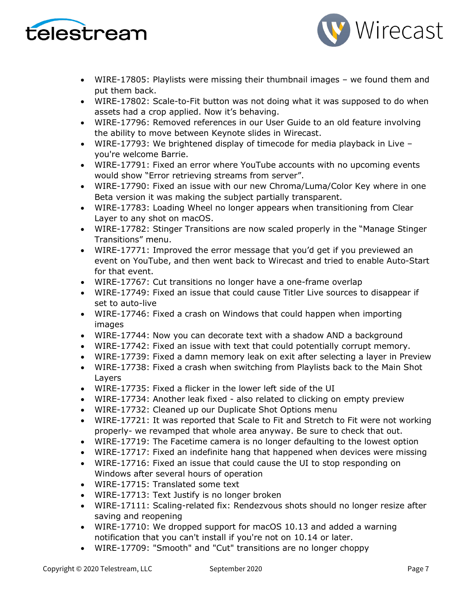



- WIRE-17805: Playlists were missing their thumbnail images we found them and put them back.
- WIRE-17802: Scale-to-Fit button was not doing what it was supposed to do when assets had a crop applied. Now it's behaving.
- WIRE-17796: Removed references in our User Guide to an old feature involving the ability to move between Keynote slides in Wirecast.
- WIRE-17793: We brightened display of timecode for media playback in Live you're welcome Barrie.
- WIRE-17791: Fixed an error where YouTube accounts with no upcoming events would show "Error retrieving streams from server".
- WIRE-17790: Fixed an issue with our new Chroma/Luma/Color Key where in one Beta version it was making the subject partially transparent.
- WIRE-17783: Loading Wheel no longer appears when transitioning from Clear Layer to any shot on macOS.
- WIRE-17782: Stinger Transitions are now scaled properly in the "Manage Stinger Transitions" menu.
- WIRE-17771: Improved the error message that you'd get if you previewed an event on YouTube, and then went back to Wirecast and tried to enable Auto-Start for that event.
- WIRE-17767: Cut transitions no longer have a one-frame overlap
- WIRE-17749: Fixed an issue that could cause Titler Live sources to disappear if set to auto-live
- WIRE-17746: Fixed a crash on Windows that could happen when importing images
- WIRE-17744: Now you can decorate text with a shadow AND a background
- WIRE-17742: Fixed an issue with text that could potentially corrupt memory.
- WIRE-17739: Fixed a damn memory leak on exit after selecting a layer in Preview
- WIRE-17738: Fixed a crash when switching from Playlists back to the Main Shot Layers
- WIRE-17735: Fixed a flicker in the lower left side of the UI
- WIRE-17734: Another leak fixed also related to clicking on empty preview
- WIRE-17732: Cleaned up our Duplicate Shot Options menu
- WIRE-17721: It was reported that Scale to Fit and Stretch to Fit were not working properly- we revamped that whole area anyway. Be sure to check that out.
- WIRE-17719: The Facetime camera is no longer defaulting to the lowest option
- WIRE-17717: Fixed an indefinite hang that happened when devices were missing
- WIRE-17716: Fixed an issue that could cause the UI to stop responding on Windows after several hours of operation
- WIRE-17715: Translated some text
- WIRE-17713: Text Justify is no longer broken
- WIRE-17111: Scaling-related fix: Rendezvous shots should no longer resize after saving and reopening
- WIRE-17710: We dropped support for macOS 10.13 and added a warning notification that you can't install if you're not on 10.14 or later.
- WIRE-17709: "Smooth" and "Cut" transitions are no longer choppy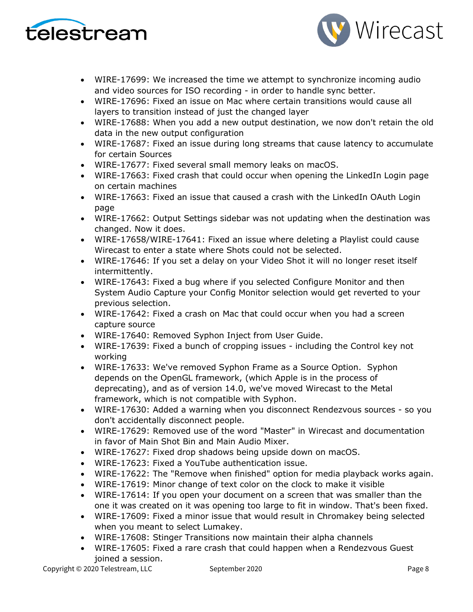



- WIRE-17699: We increased the time we attempt to synchronize incoming audio and video sources for ISO recording - in order to handle sync better.
- WIRE-17696: Fixed an issue on Mac where certain transitions would cause all layers to transition instead of just the changed layer
- WIRE-17688: When you add a new output destination, we now don't retain the old data in the new output configuration
- WIRE-17687: Fixed an issue during long streams that cause latency to accumulate for certain Sources
- WIRE-17677: Fixed several small memory leaks on macOS.
- WIRE-17663: Fixed crash that could occur when opening the LinkedIn Login page on certain machines
- WIRE-17663: Fixed an issue that caused a crash with the LinkedIn OAuth Login page
- WIRE-17662: Output Settings sidebar was not updating when the destination was changed. Now it does.
- WIRE-17658/WIRE-17641: Fixed an issue where deleting a Playlist could cause Wirecast to enter a state where Shots could not be selected.
- WIRE-17646: If you set a delay on your Video Shot it will no longer reset itself intermittently.
- WIRE-17643: Fixed a bug where if you selected Configure Monitor and then System Audio Capture your Config Monitor selection would get reverted to your previous selection.
- WIRE-17642: Fixed a crash on Mac that could occur when you had a screen capture source
- WIRE-17640: Removed Syphon Inject from User Guide.
- WIRE-17639: Fixed a bunch of cropping issues including the Control key not working
- WIRE-17633: We've removed Syphon Frame as a Source Option. Syphon depends on the OpenGL framework, (which Apple is in the process of deprecating), and as of version 14.0, we've moved Wirecast to the Metal framework, which is not compatible with Syphon.
- WIRE-17630: Added a warning when you disconnect Rendezvous sources so you don't accidentally disconnect people.
- WIRE-17629: Removed use of the word "Master" in Wirecast and documentation in favor of Main Shot Bin and Main Audio Mixer.
- WIRE-17627: Fixed drop shadows being upside down on macOS.
- WIRE-17623: Fixed a YouTube authentication issue.
- WIRE-17622: The "Remove when finished" option for media playback works again.
- WIRE-17619: Minor change of text color on the clock to make it visible
- WIRE-17614: If you open your document on a screen that was smaller than the one it was created on it was opening too large to fit in window. That's been fixed.
- WIRE-17609: Fixed a minor issue that would result in Chromakey being selected when you meant to select Lumakey.
- WIRE-17608: Stinger Transitions now maintain their alpha channels
- WIRE-17605: Fixed a rare crash that could happen when a Rendezvous Guest joined a session.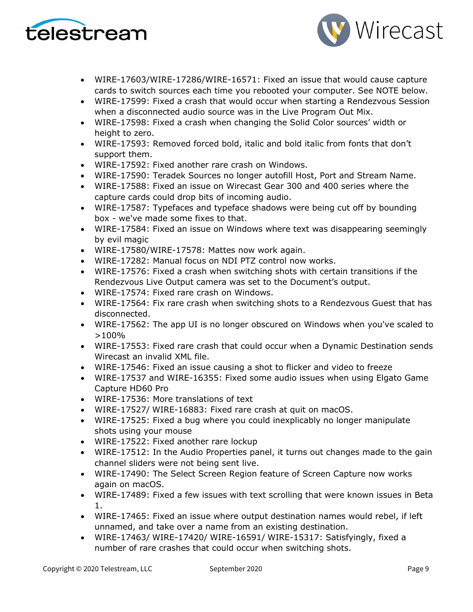



- WIRE-17603/WIRE-17286/WIRE-16571: Fixed an issue that would cause capture cards to switch sources each time you rebooted your computer. See NOTE below.
- WIRE-17599: Fixed a crash that would occur when starting a Rendezvous Session when a disconnected audio source was in the Live Program Out Mix.
- WIRE-17598: Fixed a crash when changing the Solid Color sources' width or height to zero.
- WIRE-17593: Removed forced bold, italic and bold italic from fonts that don't support them.
- WIRE-17592: Fixed another rare crash on Windows.
- WIRE-17590: Teradek Sources no longer autofill Host, Port and Stream Name.
- WIRE-17588: Fixed an issue on Wirecast Gear 300 and 400 series where the capture cards could drop bits of incoming audio.
- WIRE-17587: Typefaces and typeface shadows were being cut off by bounding box - we've made some fixes to that.
- WIRE-17584: Fixed an issue on Windows where text was disappearing seemingly by evil magic
- WIRE-17580/WIRE-17578: Mattes now work again.
- WIRE-17282: Manual focus on NDI PTZ control now works.
- WIRE-17576: Fixed a crash when switching shots with certain transitions if the Rendezvous Live Output camera was set to the Document's output.
- WIRE-17574: Fixed rare crash on Windows.
- WIRE-17564: Fix rare crash when switching shots to a Rendezvous Guest that has disconnected.
- WIRE-17562: The app UI is no longer obscured on Windows when you've scaled to >100%
- WIRE-17553: Fixed rare crash that could occur when a Dynamic Destination sends Wirecast an invalid XML file.
- WIRE-17546: Fixed an issue causing a shot to flicker and video to freeze
- WIRE-17537 and WIRE-16355: Fixed some audio issues when using Elgato Game Capture HD60 Pro
- WIRE-17536: More translations of text
- WIRE-17527/ WIRE-16883: Fixed rare crash at quit on macOS.
- WIRE-17525: Fixed a bug where you could inexplicably no longer manipulate shots using your mouse
- WIRE-17522: Fixed another rare lockup
- WIRE-17512: In the Audio Properties panel, it turns out changes made to the gain channel sliders were not being sent live.
- WIRE-17490: The Select Screen Region feature of Screen Capture now works again on macOS.
- WIRE-17489: Fixed a few issues with text scrolling that were known issues in Beta 1.
- WIRE-17465: Fixed an issue where output destination names would rebel, if left unnamed, and take over a name from an existing destination.
- WIRE-17463/ WIRE-17420/ WIRE-16591/ WIRE-15317: Satisfyingly, fixed a number of rare crashes that could occur when switching shots.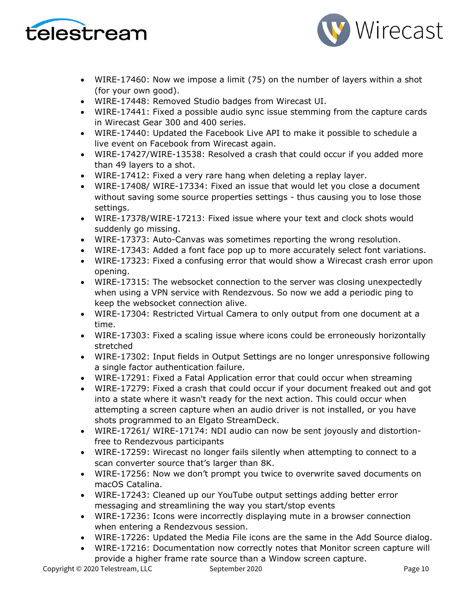



- WIRE-17460: Now we impose a limit (75) on the number of layers within a shot (for your own good).
- WIRE-17448: Removed Studio badges from Wirecast UI.
- WIRE-17441: Fixed a possible audio sync issue stemming from the capture cards in Wirecast Gear 300 and 400 series.
- WIRE-17440: Updated the Facebook Live API to make it possible to schedule a live event on Facebook from Wirecast again.
- WIRE-17427/WIRE-13538: Resolved a crash that could occur if you added more than 49 layers to a shot.
- WIRE-17412: Fixed a very rare hang when deleting a replay layer.
- WIRE-17408/ WIRE-17334: Fixed an issue that would let you close a document without saving some source properties settings - thus causing you to lose those settings.
- WIRE-17378/WIRE-17213: Fixed issue where your text and clock shots would suddenly go missing.
- WIRE-17373: Auto-Canvas was sometimes reporting the wrong resolution.
- WIRE-17343: Added a font face pop up to more accurately select font variations.
- WIRE-17323: Fixed a confusing error that would show a Wirecast crash error upon opening.
- WIRE-17315: The websocket connection to the server was closing unexpectedly when using a VPN service with Rendezvous. So now we add a periodic ping to keep the websocket connection alive.
- WIRE-17304: Restricted Virtual Camera to only output from one document at a time.
- WIRE-17303: Fixed a scaling issue where icons could be erroneously horizontally stretched
- WIRE-17302: Input fields in Output Settings are no longer unresponsive following a single factor authentication failure.
- WIRE-17291: Fixed a Fatal Application error that could occur when streaming
- WIRE-17279: Fixed a crash that could occur if your document freaked out and got into a state where it wasn't ready for the next action. This could occur when attempting a screen capture when an audio driver is not installed, or you have shots programmed to an Elgato StreamDeck.
- WIRE-17261/ WIRE-17174: NDI audio can now be sent joyously and distortionfree to Rendezvous participants
- WIRE-17259: Wirecast no longer fails silently when attempting to connect to a scan converter source that's larger than 8K.
- WIRE-17256: Now we don't prompt you twice to overwrite saved documents on macOS Catalina.
- WIRE-17243: Cleaned up our YouTube output settings adding better error messaging and streamlining the way you start/stop events
- WIRE-17236: Icons were incorrectly displaying mute in a browser connection when entering a Rendezvous session.
- WIRE-17226: Updated the Media File icons are the same in the Add Source dialog.
- WIRE-17216: Documentation now correctly notes that Monitor screen capture will provide a higher frame rate source than a Window screen capture.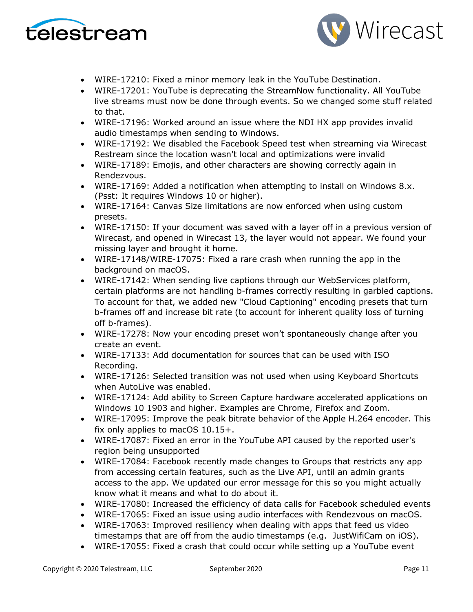



- WIRE-17210: Fixed a minor memory leak in the YouTube Destination.
- WIRE-17201: YouTube is deprecating the StreamNow functionality. All YouTube live streams must now be done through events. So we changed some stuff related to that.
- WIRE-17196: Worked around an issue where the NDI HX app provides invalid audio timestamps when sending to Windows.
- WIRE-17192: We disabled the Facebook Speed test when streaming via Wirecast Restream since the location wasn't local and optimizations were invalid
- WIRE-17189: Emojis, and other characters are showing correctly again in Rendezvous.
- WIRE-17169: Added a notification when attempting to install on Windows 8.x. (Psst: It requires Windows 10 or higher).
- WIRE-17164: Canvas Size limitations are now enforced when using custom presets.
- WIRE-17150: If your document was saved with a layer off in a previous version of Wirecast, and opened in Wirecast 13, the layer would not appear. We found your missing layer and brought it home.
- WIRE-17148/WIRE-17075: Fixed a rare crash when running the app in the background on macOS.
- WIRE-17142: When sending live captions through our WebServices platform, certain platforms are not handling b-frames correctly resulting in garbled captions. To account for that, we added new "Cloud Captioning" encoding presets that turn b-frames off and increase bit rate (to account for inherent quality loss of turning off b-frames).
- WIRE-17278: Now your encoding preset won't spontaneously change after you create an event.
- WIRE-17133: Add documentation for sources that can be used with ISO Recording.
- WIRE-17126: Selected transition was not used when using Keyboard Shortcuts when AutoLive was enabled.
- WIRE-17124: Add ability to Screen Capture hardware accelerated applications on Windows 10 1903 and higher. Examples are Chrome, Firefox and Zoom.
- WIRE-17095: Improve the peak bitrate behavior of the Apple H.264 encoder. This fix only applies to macOS 10.15+.
- WIRE-17087: Fixed an error in the YouTube API caused by the reported user's region being unsupported
- WIRE-17084: Facebook recently made changes to Groups that restricts any app from accessing certain features, such as the Live API, until an admin grants access to the app. We updated our error message for this so you might actually know what it means and what to do about it.
- WIRE-17080: Increased the efficiency of data calls for Facebook scheduled events
- WIRE-17065: Fixed an issue using audio interfaces with Rendezvous on macOS.
- WIRE-17063: Improved resiliency when dealing with apps that feed us video timestamps that are off from the audio timestamps (e.g. JustWifiCam on iOS).
- WIRE-17055: Fixed a crash that could occur while setting up a YouTube event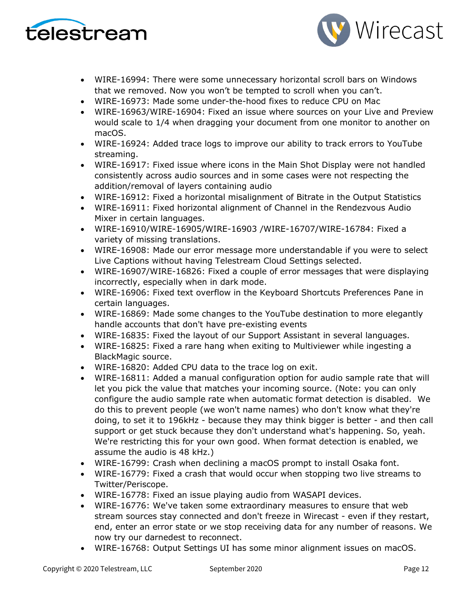



- WIRE-16994: There were some unnecessary horizontal scroll bars on Windows that we removed. Now you won't be tempted to scroll when you can't.
- WIRE-16973: Made some under-the-hood fixes to reduce CPU on Mac
- WIRE-16963/WIRE-16904: Fixed an issue where sources on your Live and Preview would scale to 1/4 when dragging your document from one monitor to another on macOS.
- WIRE-16924: Added trace logs to improve our ability to track errors to YouTube streaming.
- WIRE-16917: Fixed issue where icons in the Main Shot Display were not handled consistently across audio sources and in some cases were not respecting the addition/removal of layers containing audio
- WIRE-16912: Fixed a horizontal misalignment of Bitrate in the Output Statistics
- WIRE-16911: Fixed horizontal alignment of Channel in the Rendezvous Audio Mixer in certain languages.
- WIRE-16910/WIRE-16905/WIRE-16903 /WIRE-16707/WIRE-16784: Fixed a variety of missing translations.
- WIRE-16908: Made our error message more understandable if you were to select Live Captions without having Telestream Cloud Settings selected.
- WIRE-16907/WIRE-16826: Fixed a couple of error messages that were displaying incorrectly, especially when in dark mode.
- WIRE-16906: Fixed text overflow in the Keyboard Shortcuts Preferences Pane in certain languages.
- WIRE-16869: Made some changes to the YouTube destination to more elegantly handle accounts that don't have pre-existing events
- WIRE-16835: Fixed the layout of our Support Assistant in several languages.
- WIRE-16825: Fixed a rare hang when exiting to Multiviewer while ingesting a BlackMagic source.
- WIRE-16820: Added CPU data to the trace log on exit.
- WIRE-16811: Added a manual configuration option for audio sample rate that will let you pick the value that matches your incoming source. (Note: you can only configure the audio sample rate when automatic format detection is disabled. We do this to prevent people (we won't name names) who don't know what they're doing, to set it to 196kHz - because they may think bigger is better - and then call support or get stuck because they don't understand what's happening. So, yeah. We're restricting this for your own good. When format detection is enabled, we assume the audio is 48 kHz.)
- WIRE-16799: Crash when declining a macOS prompt to install Osaka font.
- WIRE-16779: Fixed a crash that would occur when stopping two live streams to Twitter/Periscope.
- WIRE-16778: Fixed an issue playing audio from WASAPI devices.
- WIRE-16776: We've taken some extraordinary measures to ensure that web stream sources stay connected and don't freeze in Wirecast - even if they restart, end, enter an error state or we stop receiving data for any number of reasons. We now try our darnedest to reconnect.
- WIRE-16768: Output Settings UI has some minor alignment issues on macOS.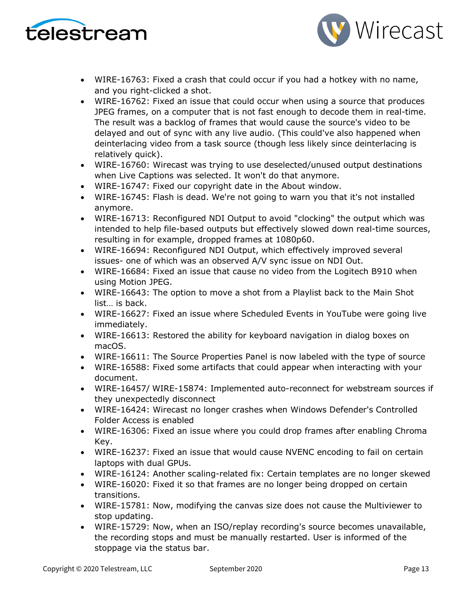



- WIRE-16763: Fixed a crash that could occur if you had a hotkey with no name, and you right-clicked a shot.
- WIRE-16762: Fixed an issue that could occur when using a source that produces JPEG frames, on a computer that is not fast enough to decode them in real-time. The result was a backlog of frames that would cause the source's video to be delayed and out of sync with any live audio. (This could've also happened when deinterlacing video from a task source (though less likely since deinterlacing is relatively quick).
- WIRE-16760: Wirecast was trying to use deselected/unused output destinations when Live Captions was selected. It won't do that anymore.
- WIRE-16747: Fixed our copyright date in the About window.
- WIRE-16745: Flash is dead. We're not going to warn you that it's not installed anymore.
- WIRE-16713: Reconfigured NDI Output to avoid "clocking" the output which was intended to help file-based outputs but effectively slowed down real-time sources, resulting in for example, dropped frames at 1080p60.
- WIRE-16694: Reconfigured NDI Output, which effectively improved several issues- one of which was an observed A/V sync issue on NDI Out.
- WIRE-16684: Fixed an issue that cause no video from the Logitech B910 when using Motion JPEG.
- WIRE-16643: The option to move a shot from a Playlist back to the Main Shot list… is back.
- WIRE-16627: Fixed an issue where Scheduled Events in YouTube were going live immediately.
- WIRE-16613: Restored the ability for keyboard navigation in dialog boxes on macOS.
- WIRE-16611: The Source Properties Panel is now labeled with the type of source
- WIRE-16588: Fixed some artifacts that could appear when interacting with your document.
- WIRE-16457/ WIRE-15874: Implemented auto-reconnect for webstream sources if they unexpectedly disconnect
- WIRE-16424: Wirecast no longer crashes when Windows Defender's Controlled Folder Access is enabled
- WIRE-16306: Fixed an issue where you could drop frames after enabling Chroma Key.
- WIRE-16237: Fixed an issue that would cause NVENC encoding to fail on certain laptops with dual GPUs.
- WIRE-16124: Another scaling-related fix: Certain templates are no longer skewed
- WIRE-16020: Fixed it so that frames are no longer being dropped on certain transitions.
- WIRE-15781: Now, modifying the canvas size does not cause the Multiviewer to stop updating.
- WIRE-15729: Now, when an ISO/replay recording's source becomes unavailable, the recording stops and must be manually restarted. User is informed of the stoppage via the status bar.